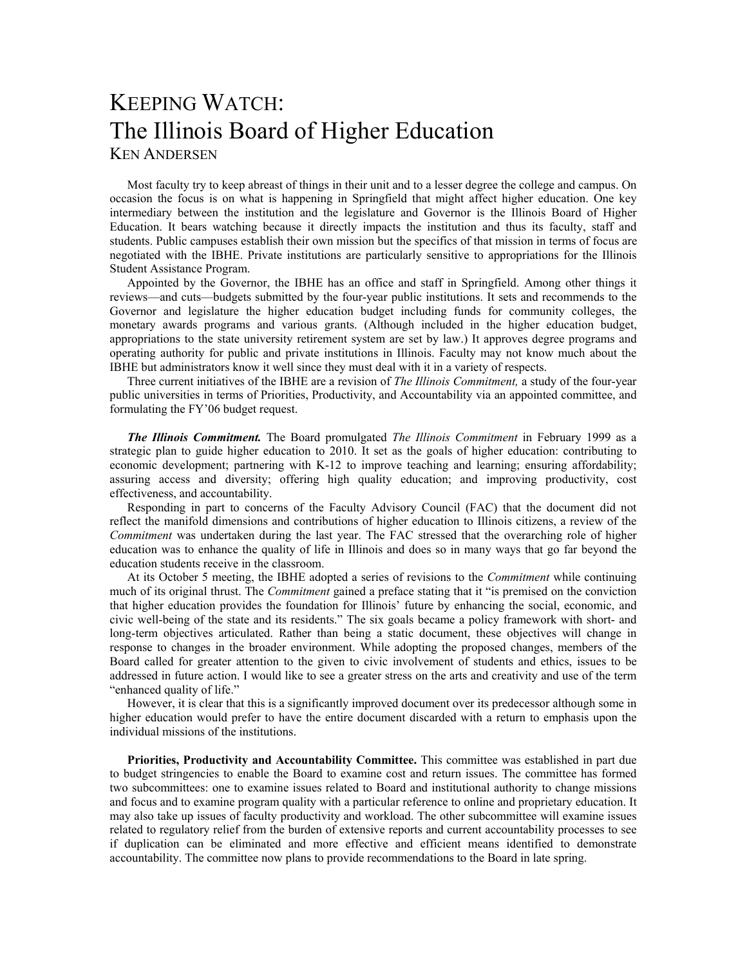## KEEPING WATCH: The Illinois Board of Higher Education KEN ANDERSEN

Most faculty try to keep abreast of things in their unit and to a lesser degree the college and campus. On occasion the focus is on what is happening in Springfield that might affect higher education. One key intermediary between the institution and the legislature and Governor is the Illinois Board of Higher Education. It bears watching because it directly impacts the institution and thus its faculty, staff and students. Public campuses establish their own mission but the specifics of that mission in terms of focus are negotiated with the IBHE. Private institutions are particularly sensitive to appropriations for the Illinois Student Assistance Program.

Appointed by the Governor, the IBHE has an office and staff in Springfield. Among other things it reviews—and cuts—budgets submitted by the four-year public institutions. It sets and recommends to the Governor and legislature the higher education budget including funds for community colleges, the monetary awards programs and various grants. (Although included in the higher education budget, appropriations to the state university retirement system are set by law.) It approves degree programs and operating authority for public and private institutions in Illinois. Faculty may not know much about the IBHE but administrators know it well since they must deal with it in a variety of respects.

Three current initiatives of the IBHE are a revision of *The Illinois Commitment,* a study of the four-year public universities in terms of Priorities, Productivity, and Accountability via an appointed committee, and formulating the FY'06 budget request.

*The Illinois Commitment.* The Board promulgated *The Illinois Commitment* in February 1999 as a strategic plan to guide higher education to 2010. It set as the goals of higher education: contributing to economic development; partnering with K-12 to improve teaching and learning; ensuring affordability; assuring access and diversity; offering high quality education; and improving productivity, cost effectiveness, and accountability.

Responding in part to concerns of the Faculty Advisory Council (FAC) that the document did not reflect the manifold dimensions and contributions of higher education to Illinois citizens, a review of the *Commitment* was undertaken during the last year. The FAC stressed that the overarching role of higher education was to enhance the quality of life in Illinois and does so in many ways that go far beyond the education students receive in the classroom.

At its October 5 meeting, the IBHE adopted a series of revisions to the *Commitment* while continuing much of its original thrust. The *Commitment* gained a preface stating that it "is premised on the conviction that higher education provides the foundation for Illinois' future by enhancing the social, economic, and civic well-being of the state and its residents." The six goals became a policy framework with short- and long-term objectives articulated. Rather than being a static document, these objectives will change in response to changes in the broader environment. While adopting the proposed changes, members of the Board called for greater attention to the given to civic involvement of students and ethics, issues to be addressed in future action. I would like to see a greater stress on the arts and creativity and use of the term "enhanced quality of life."

However, it is clear that this is a significantly improved document over its predecessor although some in higher education would prefer to have the entire document discarded with a return to emphasis upon the individual missions of the institutions.

**Priorities, Productivity and Accountability Committee.** This committee was established in part due to budget stringencies to enable the Board to examine cost and return issues. The committee has formed two subcommittees: one to examine issues related to Board and institutional authority to change missions and focus and to examine program quality with a particular reference to online and proprietary education. It may also take up issues of faculty productivity and workload. The other subcommittee will examine issues related to regulatory relief from the burden of extensive reports and current accountability processes to see if duplication can be eliminated and more effective and efficient means identified to demonstrate accountability. The committee now plans to provide recommendations to the Board in late spring.